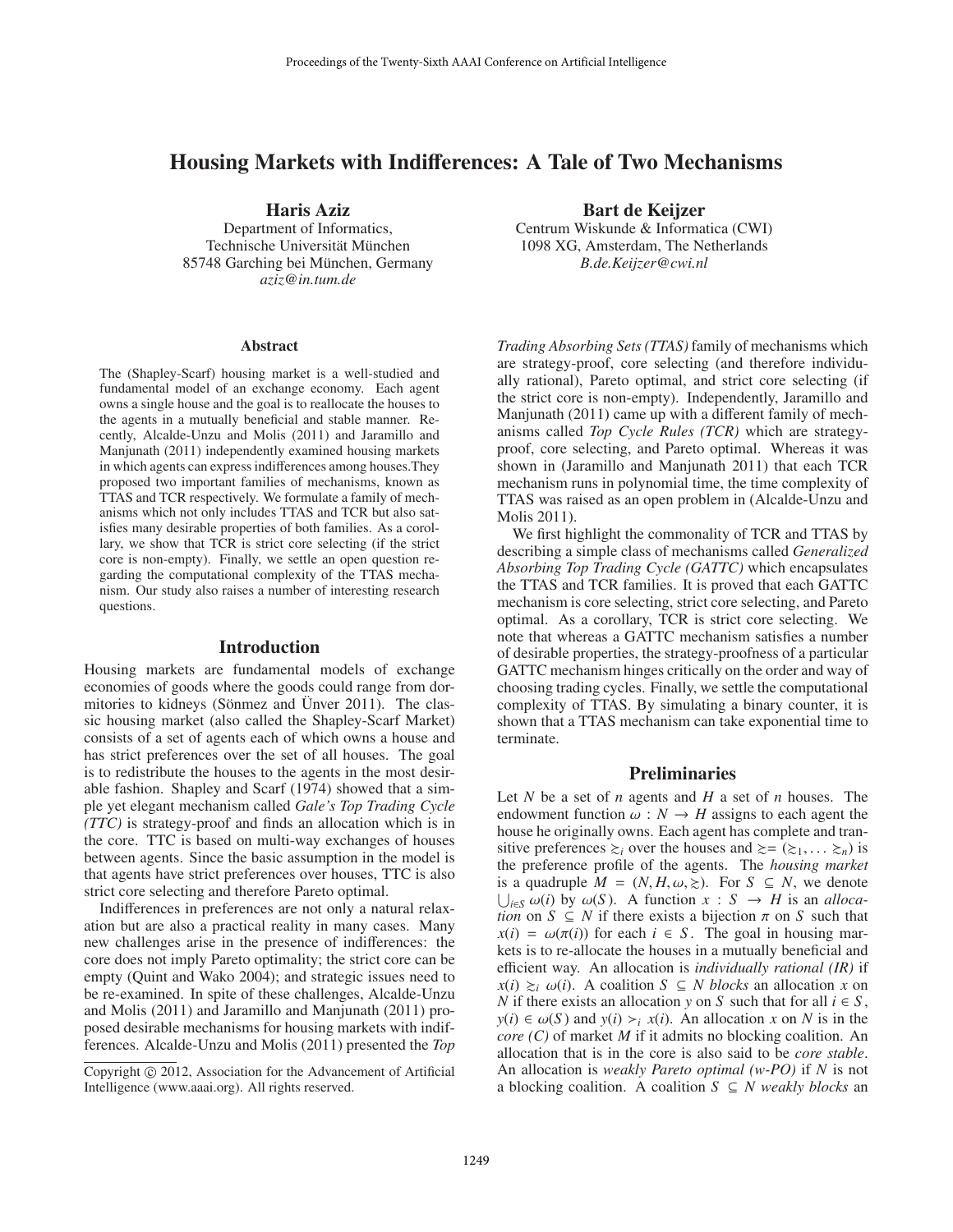# Housing Markets with Indifferences: A Tale of Two Mechanisms

Haris Aziz

Department of Informatics, Technische Universität München 85748 Garching bei München, Germany *aziz@in.tum.de*

#### **Abstract**

The (Shapley-Scarf) housing market is a well-studied and fundamental model of an exchange economy. Each agent owns a single house and the goal is to reallocate the houses to the agents in a mutually beneficial and stable manner. Recently, Alcalde-Unzu and Molis (2011) and Jaramillo and Manjunath (2011) independently examined housing markets in which agents can express indifferences among houses.They proposed two important families of mechanisms, known as TTAS and TCR respectively. We formulate a family of mechanisms which not only includes TTAS and TCR but also satisfies many desirable properties of both families. As a corollary, we show that TCR is strict core selecting (if the strict core is non-empty). Finally, we settle an open question regarding the computational complexity of the TTAS mechanism. Our study also raises a number of interesting research questions.

#### Introduction

Housing markets are fundamental models of exchange economies of goods where the goods could range from dormitories to kidneys (Sönmez and Ünver 2011). The classic housing market (also called the Shapley-Scarf Market) consists of a set of agents each of which owns a house and has strict preferences over the set of all houses. The goal is to redistribute the houses to the agents in the most desirable fashion. Shapley and Scarf (1974) showed that a simple yet elegant mechanism called *Gale's Top Trading Cycle (TTC)* is strategy-proof and finds an allocation which is in the core. TTC is based on multi-way exchanges of houses between agents. Since the basic assumption in the model is that agents have strict preferences over houses, TTC is also strict core selecting and therefore Pareto optimal.

Indifferences in preferences are not only a natural relaxation but are also a practical reality in many cases. Many new challenges arise in the presence of indifferences: the core does not imply Pareto optimality; the strict core can be empty (Quint and Wako 2004); and strategic issues need to be re-examined. In spite of these challenges, Alcalde-Unzu and Molis (2011) and Jaramillo and Manjunath (2011) proposed desirable mechanisms for housing markets with indifferences. Alcalde-Unzu and Molis (2011) presented the *Top* Bart de Keijzer

Centrum Wiskunde & Informatica (CWI) 1098 XG, Amsterdam, The Netherlands *B.de.Keijzer@cwi.nl*

*Trading Absorbing Sets (TTAS)* family of mechanisms which are strategy-proof, core selecting (and therefore individually rational), Pareto optimal, and strict core selecting (if the strict core is non-empty). Independently, Jaramillo and Manjunath (2011) came up with a different family of mechanisms called *Top Cycle Rules (TCR)* which are strategyproof, core selecting, and Pareto optimal. Whereas it was shown in (Jaramillo and Manjunath 2011) that each TCR mechanism runs in polynomial time, the time complexity of TTAS was raised as an open problem in (Alcalde-Unzu and Molis 2011).

We first highlight the commonality of TCR and TTAS by describing a simple class of mechanisms called *Generalized Absorbing Top Trading Cycle (GATTC)* which encapsulates the TTAS and TCR families. It is proved that each GATTC mechanism is core selecting, strict core selecting, and Pareto optimal. As a corollary, TCR is strict core selecting. We note that whereas a GATTC mechanism satisfies a number of desirable properties, the strategy-proofness of a particular GATTC mechanism hinges critically on the order and way of choosing trading cycles. Finally, we settle the computational complexity of TTAS. By simulating a binary counter, it is shown that a TTAS mechanism can take exponential time to terminate.

### **Preliminaries**

Let *N* be a set of *n* agents and *H* a set of *n* houses. The endowment function  $\omega : N \to H$  assigns to each agent the house he originally owns. Each agent has complete and transitive preferences  $\gtrsim_i$  over the houses and  $\gtrsim = (\gtrsim_1, \ldots \gtrsim_n)$  is the preference profile of the agents. The *housing market* is a quadruple  $M = (N, H, \omega, \geq)$ . For  $S \subseteq N$ , we denote U<sub>i∈S</sub>  $\omega(i)$  by  $\omega(S)$ . A function *x* : *S* → *H* is an *allocation* on *S* ⊂ *N* if there exists a bijection  $\pi$  on *S* such that *tion* on  $S \subseteq N$  if there exists a bijection  $\pi$  on  $S$  such that  $x(i) = \omega(\pi(i))$  for each  $i \in S$ . The goal in housing markets is to re-allocate the houses in a mutually beneficial and efficient way. An allocation is *individually rational (IR)* if  $x(i) \geq i \omega(i)$ . A coalition *S* ⊆ *N blocks* an allocation *x* on *N* if there exists an allocation *y* on *S* such that for all  $i \in S$ ,  $y(i) \in \omega(S)$  and  $y(i) \succ_i x(i)$ . An allocation *x* on *N* is in the *core (C)* of market *M* if it admits no blocking coalition. An allocation that is in the core is also said to be *core stable*. An allocation is *weakly Pareto optimal (w-PO)* if *N* is not a blocking coalition. A coalition  $S \subseteq N$  weakly blocks an

Copyright © 2012, Association for the Advancement of Artificial Intelligence (www.aaai.org). All rights reserved.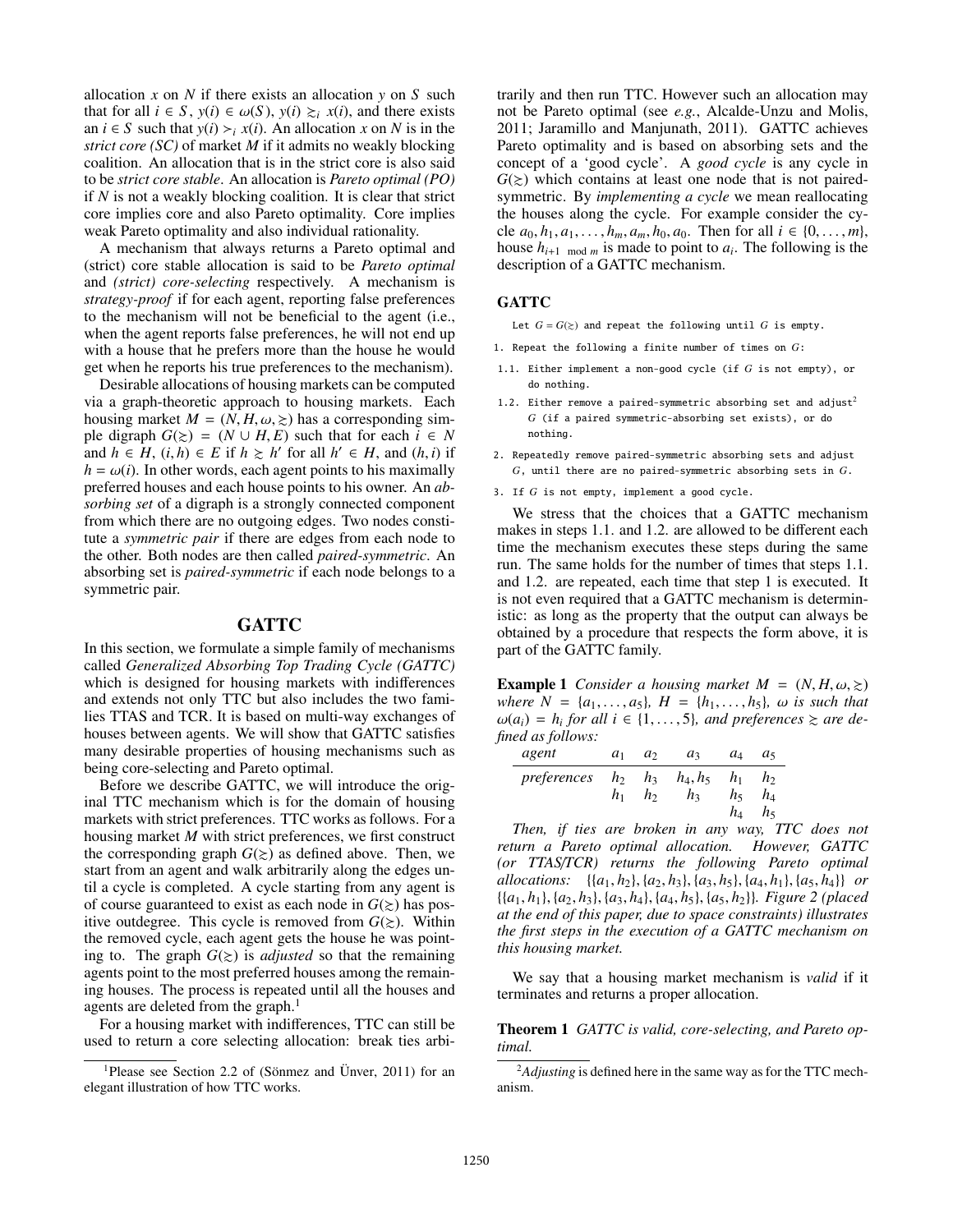allocation  $x$  on  $N$  if there exists an allocation  $y$  on  $S$  such that for all *i* ∈ *S*, *y*(*i*) ∈  $ω(S)$ , *y*(*i*)  $≥$ <sub>*i*</sub> *x*(*i*), and there exists an  $i \in S$  such that  $y(i) > i x(i)$ . An allocation *x* on *N* is in the *strict core (SC)* of market *M* if it admits no weakly blocking coalition. An allocation that is in the strict core is also said to be *strict core stable*. An allocation is *Pareto optimal (PO)* if *N* is not a weakly blocking coalition. It is clear that strict core implies core and also Pareto optimality. Core implies weak Pareto optimality and also individual rationality.

A mechanism that always returns a Pareto optimal and (strict) core stable allocation is said to be *Pareto optimal* and *(strict) core-selecting* respectively. A mechanism is *strategy-proof* if for each agent, reporting false preferences to the mechanism will not be beneficial to the agent (i.e., when the agent reports false preferences, he will not end up with a house that he prefers more than the house he would get when he reports his true preferences to the mechanism).

Desirable allocations of housing markets can be computed via a graph-theoretic approach to housing markets. Each housing market  $M = (N, H, \omega, \geq)$  has a corresponding simple digraph  $G(\ge) = (N \cup H, E)$  such that for each  $i \in N$ and  $h \in H$ ,  $(i, h) \in E$  if  $h \ge h'$  for all  $h' \in H$ , and  $(h, i)$  if  $h = \omega(i)$ . In other words, each agent points to his maximally  $h = \omega(i)$ . In other words, each agent points to his maximally preferred houses and each house points to his owner. An *absorbing set* of a digraph is a strongly connected component from which there are no outgoing edges. Two nodes constitute a *symmetric pair* if there are edges from each node to the other. Both nodes are then called *paired-symmetric*. An absorbing set is *paired-symmetric* if each node belongs to a symmetric pair.

### **GATTC**

In this section, we formulate a simple family of mechanisms called *Generalized Absorbing Top Trading Cycle (GATTC)* which is designed for housing markets with indifferences and extends not only TTC but also includes the two families TTAS and TCR. It is based on multi-way exchanges of houses between agents. We will show that GATTC satisfies many desirable properties of housing mechanisms such as being core-selecting and Pareto optimal.

Before we describe GATTC, we will introduce the original TTC mechanism which is for the domain of housing markets with strict preferences. TTC works as follows. For a housing market *M* with strict preferences, we first construct the corresponding graph  $G(\ge)$  as defined above. Then, we start from an agent and walk arbitrarily along the edges until a cycle is completed. A cycle starting from any agent is of course guaranteed to exist as each node in  $G(\ge)$  has positive outdegree. This cycle is removed from  $G(\ge)$ . Within the removed cycle, each agent gets the house he was pointing to. The graph  $G(\ge)$  is *adjusted* so that the remaining agents point to the most preferred houses among the remaining houses. The process is repeated until all the houses and agents are deleted from the graph.<sup>1</sup>

For a housing market with indifferences, TTC can still be used to return a core selecting allocation: break ties arbi-

trarily and then run TTC. However such an allocation may not be Pareto optimal (see *e.g.*, Alcalde-Unzu and Molis, 2011; Jaramillo and Manjunath, 2011). GATTC achieves Pareto optimality and is based on absorbing sets and the concept of a 'good cycle'. A *good cycle* is any cycle in  $G(\ge)$  which contains at least one node that is not pairedsymmetric. By *implementing a cycle* we mean reallocating the houses along the cycle. For example consider the cycle  $a_0, h_1, a_1, \ldots, h_m, a_m, h_0, a_0$ . Then for all  $i \in \{0, \ldots, m\}$ , house  $h_{i+1 \mod m}$  is made to point to  $a_i$ . The following is the description of a GATTC mechanism.

#### GATTC

Let  $G = G(\ge)$  and repeat the following until *G* is empty.

- 1. Repeat the following a finite number of times on *G*:
- 1.1. Either implement a non-good cycle (if *G* is not empty), or do nothing.
- 1.2. Either remove a paired-symmetric absorbing set and adjust<sup>2</sup> *G* (if a paired symmetric-absorbing set exists), or do nothing.
- 2. Repeatedly remove paired-symmetric absorbing sets and adjust *G*, until there are no paired-symmetric absorbing sets in *G*.
- 3. If *G* is not empty, implement a good cycle.

We stress that the choices that a GATTC mechanism makes in steps 1.1. and 1.2. are allowed to be different each time the mechanism executes these steps during the same run. The same holds for the number of times that steps 1.1. and 1.2. are repeated, each time that step 1 is executed. It is not even required that a GATTC mechanism is deterministic: as long as the property that the output can always be obtained by a procedure that respects the form above, it is part of the GATTC family.

**Example 1** *Consider a housing market*  $M = (N, H, \omega, \geq)$ *where*  $N = \{a_1, \ldots, a_5\}$ ,  $H = \{h_1, \ldots, h_5\}$ ,  $\omega$  *is such that*  $\omega(a_i) = h_i$  for all  $i \in \{1, \ldots, 5\}$ , and preferences  $\succcurlyeq$  are defined as follows: *fined as follows:*

| agent                                             | $a_1$ | $a_2$ $a_3$ | $a_4$          | a <sub>5</sub>          |
|---------------------------------------------------|-------|-------------|----------------|-------------------------|
| preferences $h_2$ $h_3$ $h_4$ , $h_5$ $h_1$ $h_2$ | $h_1$ | $h_2$ $h_3$ | $h_5$<br>$h_4$ | $h_4$<br>h <sub>5</sub> |

*Then, if ties are broken in any way, TTC does not return a Pareto optimal allocation. However, GATTC (or TTAS*/*TCR) returns the following Pareto optimal allocations:* {{*a*<sup>1</sup>, *<sup>h</sup>*2}, {*a*<sup>2</sup>, *<sup>h</sup>*3}, {*a*<sup>3</sup>, *<sup>h</sup>*5}, {*a*<sup>4</sup>, *<sup>h</sup>*1}, {*a*<sup>5</sup>, *<sup>h</sup>*4}} *or* {{*a*<sup>1</sup>, *<sup>h</sup>*1}, {*a*<sup>2</sup>, *<sup>h</sup>*3}, {*a*<sup>3</sup>, *<sup>h</sup>*4}, {*a*<sup>4</sup>, *<sup>h</sup>*5}, {*a*<sup>5</sup>, *<sup>h</sup>*2}}*. Figure 2 (placed at the end of this paper, due to space constraints) illustrates the first steps in the execution of a GATTC mechanism on this housing market.*

We say that a housing market mechanism is *valid* if it terminates and returns a proper allocation.

Theorem 1 *GATTC is valid, core-selecting, and Pareto optimal.*

<sup>&</sup>lt;sup>1</sup>Please see Section 2.2 of (Sönmez and Ünver, 2011) for an elegant illustration of how TTC works.

<sup>2</sup>*Adjusting* is defined here in the same way as for the TTC mechanism.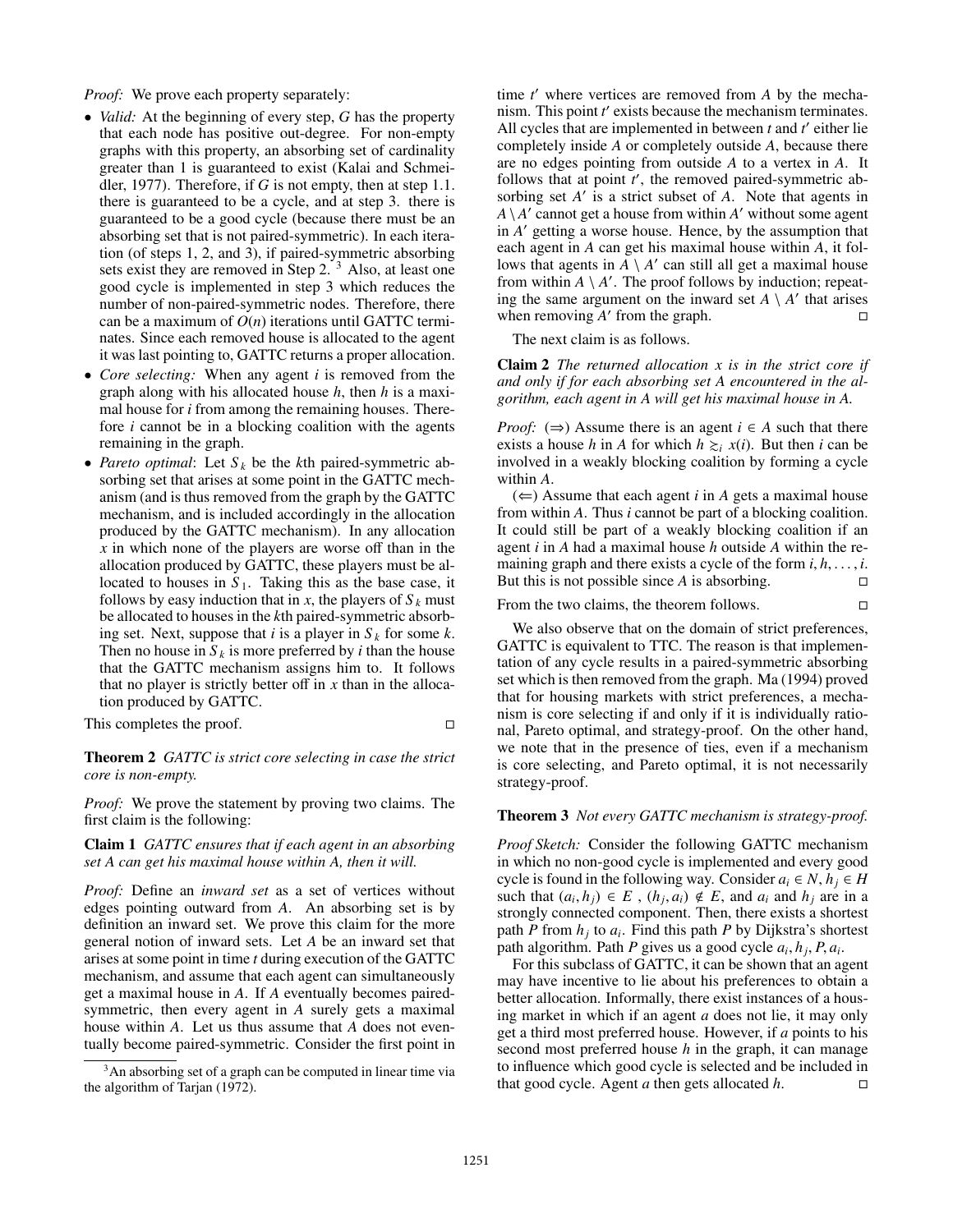*Proof:* We prove each property separately:

- *Valid:* At the beginning of every step, *G* has the property that each node has positive out-degree. For non-empty graphs with this property, an absorbing set of cardinality greater than 1 is guaranteed to exist (Kalai and Schmeidler, 1977). Therefore, if *G* is not empty, then at step 1.1. there is guaranteed to be a cycle, and at step 3. there is guaranteed to be a good cycle (because there must be an absorbing set that is not paired-symmetric). In each iteration (of steps 1, 2, and 3), if paired-symmetric absorbing sets exist they are removed in Step 2.<sup>3</sup> Also, at least one good cycle is implemented in step 3 which reduces the number of non-paired-symmetric nodes. Therefore, there can be a maximum of  $O(n)$  iterations until GATTC terminates. Since each removed house is allocated to the agent it was last pointing to, GATTC returns a proper allocation.
- *Core selecting:* When any agent *i* is removed from the graph along with his allocated house *h*, then *h* is a maximal house for *i* from among the remaining houses. Therefore *i* cannot be in a blocking coalition with the agents remaining in the graph.
- *Pareto optimal*: Let  $S_k$  be the *k*th paired-symmetric absorbing set that arises at some point in the GATTC mechanism (and is thus removed from the graph by the GATTC mechanism, and is included accordingly in the allocation produced by the GATTC mechanism). In any allocation *x* in which none of the players are worse off than in the allocation produced by GATTC, these players must be allocated to houses in  $S_1$ . Taking this as the base case, it follows by easy induction that in *x*, the players of  $S_k$  must be allocated to houses in the *k*th paired-symmetric absorbing set. Next, suppose that *i* is a player in  $S_k$  for some *k*. Then no house in  $S_k$  is more preferred by *i* than the house that the GATTC mechanism assigns him to. It follows that no player is strictly better off in *x* than in the allocation produced by GATTC.

This completes the proof.

Theorem 2 *GATTC is strict core selecting in case the strict core is non-empty.*

*Proof:* We prove the statement by proving two claims. The first claim is the following:

Claim 1 *GATTC ensures that if each agent in an absorbing set A can get his maximal house within A, then it will.*

*Proof:* Define an *inward set* as a set of vertices without edges pointing outward from *A*. An absorbing set is by definition an inward set. We prove this claim for the more general notion of inward sets. Let *A* be an inward set that arises at some point in time *t* during execution of the GATTC mechanism, and assume that each agent can simultaneously get a maximal house in *A*. If *A* eventually becomes pairedsymmetric, then every agent in *A* surely gets a maximal house within *A*. Let us thus assume that *A* does not eventually become paired-symmetric. Consider the first point in

time  $t'$  where vertices are removed from  $A$  by the mechanism. This point *t'* exists because the mechanism terminates. All cycles that are implemented in between *t* and *t'* either lie completely inside *A* or completely outside *A*, because there are no edges pointing from outside *A* to a vertex in *A*. It follows that at point  $t'$ , the removed paired-symmetric absorbing set  $A'$  is a strict subset of  $A$ . Note that agents in  $A \setminus A'$  cannot get a house from within  $A'$  without some agent in *A'* getting a worse house. Hence, by the assumption that each agent in *A* can get his maximal house within *A*, it follows that agents in  $\overline{A} \setminus A'$  can still all get a maximal house from within  $A \setminus A'$ . The proof follows by induction; repeating the same argument on the inward set  $A \setminus A'$  that arises when removing  $A'$  from the graph.

The next claim is as follows.

Claim 2 *The returned allocation x is in the strict core if and only if for each absorbing set A encountered in the algorithm, each agent in A will get his maximal house in A.*

*Proof:*  $(\Rightarrow)$  Assume there is an agent  $i \in A$  such that there exists a house *h* in *A* for which  $h \geq i$  *x*(*i*). But then *i* can be involved in a weakly blocking coalition by forming a cycle within *A*.

 $(\Leftarrow)$  Assume that each agent *i* in *A* gets a maximal house from within *A*. Thus *i* cannot be part of a blocking coalition. It could still be part of a weakly blocking coalition if an agent *i* in *A* had a maximal house *h* outside *A* within the remaining graph and there exists a cycle of the form  $i, h, \ldots, i$ .<br>But this is not possible since A is absorbing But this is not possible since *A* is absorbing.

From the two claims, the theorem follows.  $\square$ 

We also observe that on the domain of strict preferences, GATTC is equivalent to TTC. The reason is that implementation of any cycle results in a paired-symmetric absorbing set which is then removed from the graph. Ma (1994) proved that for housing markets with strict preferences, a mechanism is core selecting if and only if it is individually rational, Pareto optimal, and strategy-proof. On the other hand, we note that in the presence of ties, even if a mechanism is core selecting, and Pareto optimal, it is not necessarily strategy-proof.

#### Theorem 3 *Not every GATTC mechanism is strategy-proof.*

*Proof Sketch:* Consider the following GATTC mechanism in which no non-good cycle is implemented and every good cycle is found in the following way. Consider  $a_i \in N$ ,  $h_j \in H$ such that  $(a_i, h_j) \in E$ ,  $(h_j, a_i) \notin E$ , and  $a_i$  and  $h_j$  are in a strongly connected component. Then there exists a shortest strongly connected component. Then, there exists a shortest path *P* from *h<sup>j</sup>* to *a<sup>i</sup>* . Find this path *P* by Dijkstra's shortest path algorithm. Path *P* gives us a good cycle  $a_i$ ,  $h_j$ ,  $P$ ,  $a_i$ .<br>For this subclass of GATTC it can be shown that an a

For this subclass of GATTC, it can be shown that an agent may have incentive to lie about his preferences to obtain a better allocation. Informally, there exist instances of a housing market in which if an agent *a* does not lie, it may only get a third most preferred house. However, if *a* points to his second most preferred house *h* in the graph, it can manage to influence which good cycle is selected and be included in that good cycle. Agent *a* then gets allocated *h*.  $\square$ 

<sup>&</sup>lt;sup>3</sup>An absorbing set of a graph can be computed in linear time via the algorithm of Tarjan (1972).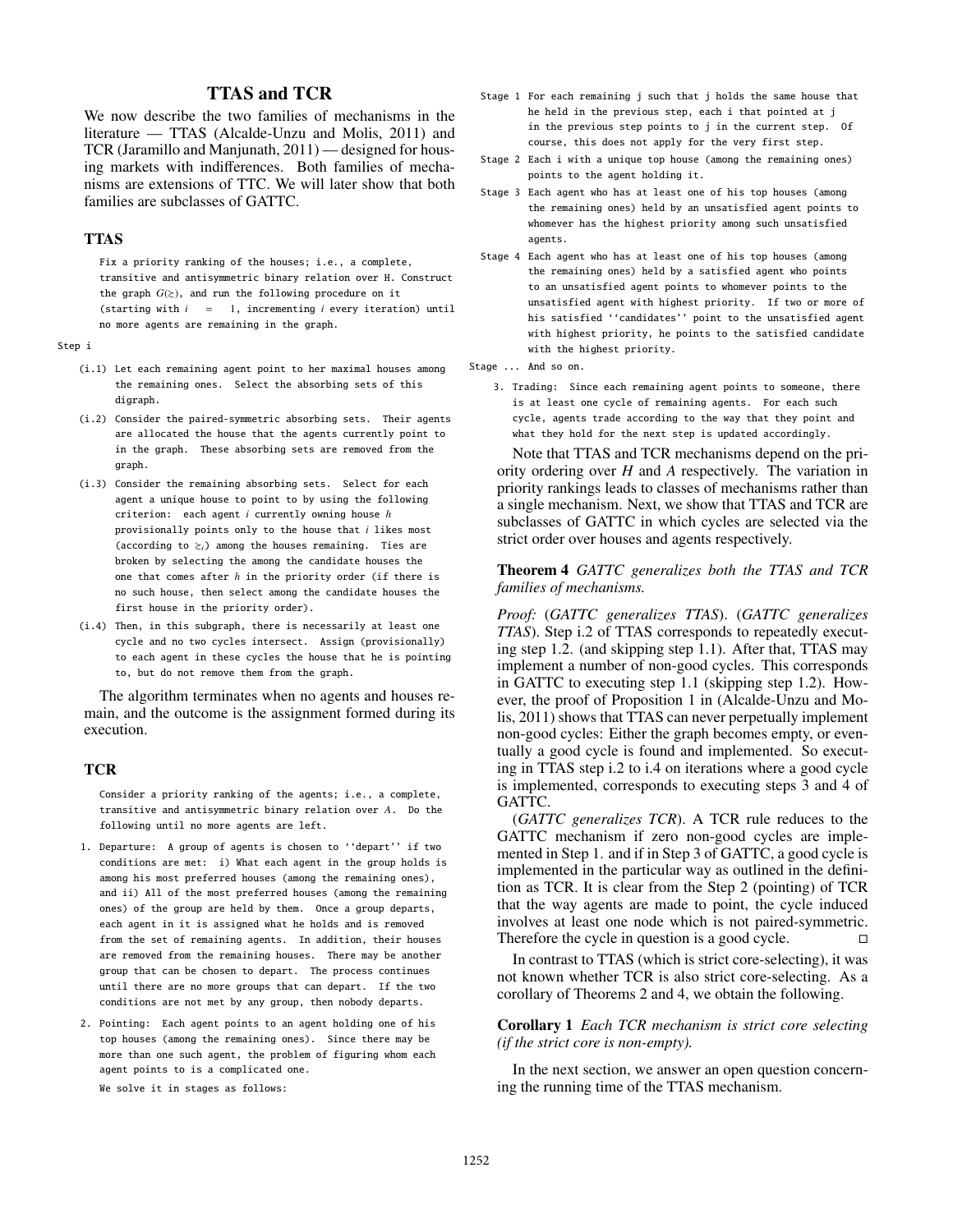## TTAS and TCR

We now describe the two families of mechanisms in the literature — TTAS (Alcalde-Unzu and Molis, 2011) and TCR (Jaramillo and Manjunath, 2011) — designed for housing markets with indifferences. Both families of mechanisms are extensions of TTC. We will later show that both families are subclasses of GATTC.

## TTAS

Fix a priority ranking of the houses; i.e., a complete, transitive and antisymmetric binary relation over H. Construct the graph  $G(z)$ , and run the following procedure on it (starting with *i* = 1, incrementing *i* every iteration) until no more agents are remaining in the graph.

Step i

- (i.1) Let each remaining agent point to her maximal houses among the remaining ones. Select the absorbing sets of this digraph.
- (i.2) Consider the paired-symmetric absorbing sets. Their agents are allocated the house that the agents currently point to in the graph. These absorbing sets are removed from the graph.
- (i.3) Consider the remaining absorbing sets. Select for each agent a unique house to point to by using the following criterion: each agent *i* currently owning house *h* provisionally points only to the house that *i* likes most (according to  $\gtrsim$ *i*) among the houses remaining. Ties are broken by selecting the among the candidate houses the one that comes after *h* in the priority order (if there is no such house, then select among the candidate houses the first house in the priority order).
- (i.4) Then, in this subgraph, there is necessarily at least one cycle and no two cycles intersect. Assign (provisionally) to each agent in these cycles the house that he is pointing to, but do not remove them from the graph.

The algorithm terminates when no agents and houses remain, and the outcome is the assignment formed during its execution.

## **TCR**

Consider a priority ranking of the agents; i.e., a complete, transitive and antisymmetric binary relation over *A*. Do the following until no more agents are left.

- 1. Departure: A group of agents is chosen to ''depart'' if two conditions are met: i) What each agent in the group holds is among his most preferred houses (among the remaining ones), and ii) All of the most preferred houses (among the remaining ones) of the group are held by them. Once a group departs, each agent in it is assigned what he holds and is removed from the set of remaining agents. In addition, their houses are removed from the remaining houses. There may be another group that can be chosen to depart. The process continues until there are no more groups that can depart. If the two conditions are not met by any group, then nobody departs.
- 2. Pointing: Each agent points to an agent holding one of his top houses (among the remaining ones). Since there may be more than one such agent, the problem of figuring whom each agent points to is a complicated one.

We solve it in stages as follows:

- Stage 1 For each remaining j such that j holds the same house that he held in the previous step, each i that pointed at j in the previous step points to j in the current step. Of course, this does not apply for the very first step.
- Stage 2 Each i with a unique top house (among the remaining ones) points to the agent holding it.
- Stage 3 Each agent who has at least one of his top houses (among the remaining ones) held by an unsatisfied agent points to whomever has the highest priority among such unsatisfied agents.
- Stage 4 Each agent who has at least one of his top houses (among the remaining ones) held by a satisfied agent who points to an unsatisfied agent points to whomever points to the unsatisfied agent with highest priority. If two or more of his satisfied ''candidates'' point to the unsatisfied agent with highest priority, he points to the satisfied candidate with the highest priority.
- Stage ... And so on.
	- 3. Trading: Since each remaining agent points to someone, there is at least one cycle of remaining agents. For each such cycle, agents trade according to the way that they point and what they hold for the next step is updated accordingly.

Note that TTAS and TCR mechanisms depend on the priority ordering over *H* and *A* respectively. The variation in priority rankings leads to classes of mechanisms rather than a single mechanism. Next, we show that TTAS and TCR are subclasses of GATTC in which cycles are selected via the strict order over houses and agents respectively.

#### Theorem 4 *GATTC generalizes both the TTAS and TCR families of mechanisms.*

*Proof:* (*GATTC generalizes TTAS*). (*GATTC generalizes TTAS*). Step i.2 of TTAS corresponds to repeatedly executing step 1.2. (and skipping step 1.1). After that, TTAS may implement a number of non-good cycles. This corresponds in GATTC to executing step 1.1 (skipping step 1.2). However, the proof of Proposition 1 in (Alcalde-Unzu and Molis, 2011) shows that TTAS can never perpetually implement non-good cycles: Either the graph becomes empty, or eventually a good cycle is found and implemented. So executing in TTAS step i.2 to i.4 on iterations where a good cycle is implemented, corresponds to executing steps 3 and 4 of GATTC.

(*GATTC generalizes TCR*). A TCR rule reduces to the GATTC mechanism if zero non-good cycles are implemented in Step 1. and if in Step 3 of GATTC, a good cycle is implemented in the particular way as outlined in the definition as TCR. It is clear from the Step 2 (pointing) of TCR that the way agents are made to point, the cycle induced involves at least one node which is not paired-symmetric. Therefore the cycle in question is a good cycle.  $\Box$ 

In contrast to TTAS (which is strict core-selecting), it was not known whether TCR is also strict core-selecting. As a corollary of Theorems 2 and 4, we obtain the following.

### Corollary 1 *Each TCR mechanism is strict core selecting (if the strict core is non-empty).*

In the next section, we answer an open question concerning the running time of the TTAS mechanism.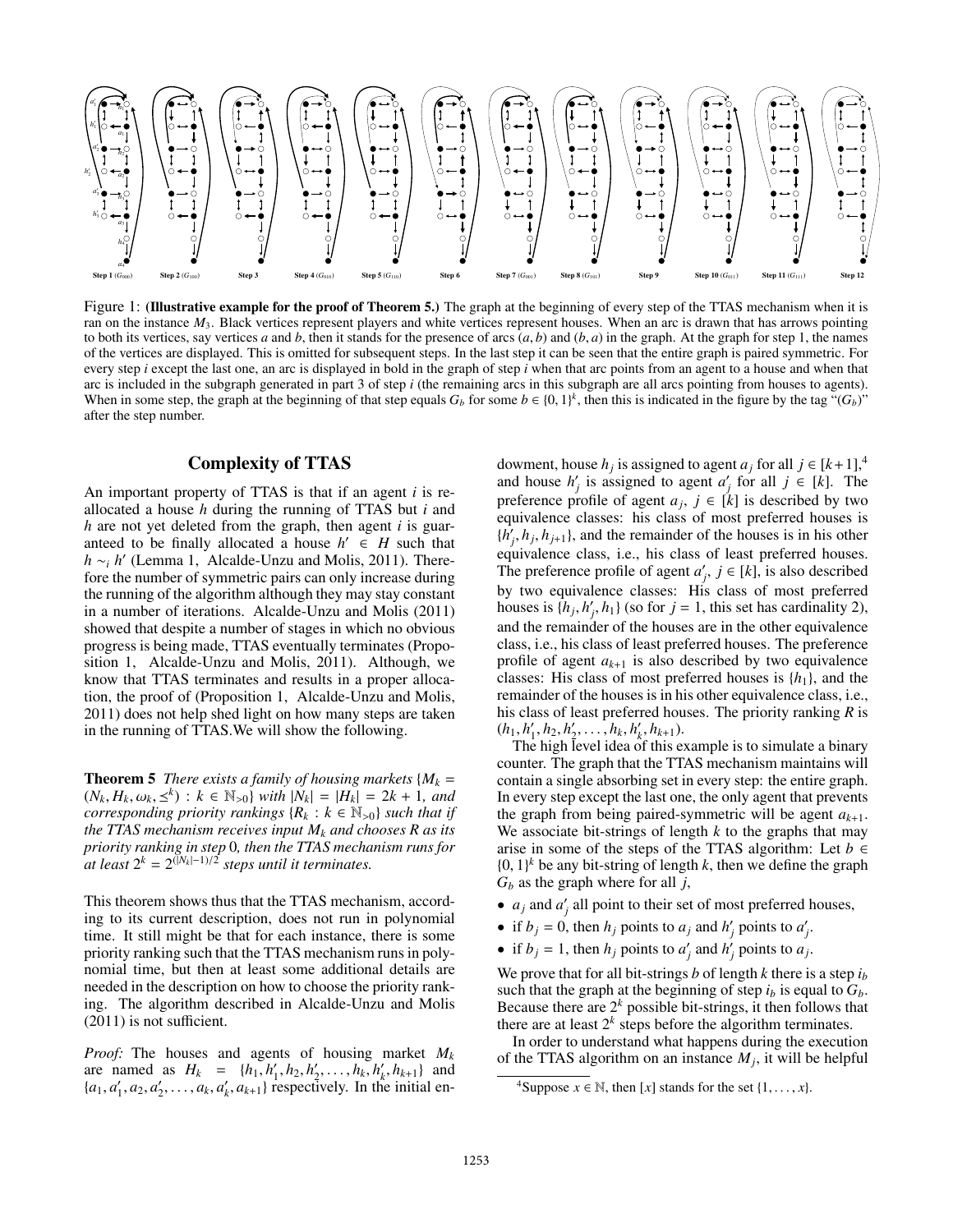

Figure 1: (Illustrative example for the proof of Theorem 5.) The graph at the beginning of every step of the TTAS mechanism when it is ran on the instance  $M_3$ . Black vertices represent players and white vertices represent houses. When an arc is drawn that has arrows pointing to both its vertices, say vertices *a* and *b*, then it stands for the presence of arcs  $(a, b)$  and  $(b, a)$  in the graph. At the graph for step 1, the names of the vertices are displayed. This is omitted for subsequent steps. In the last step it can be seen that the entire graph is paired symmetric. For every step *i* except the last one, an arc is displayed in bold in the graph of step *i* when that arc points from an agent to a house and when that arc is included in the subgraph generated in part 3 of step *i* (the remaining arcs in this subgraph are all arcs pointing from houses to agents). When in some step, the graph at the beginning of that step equals  $G_b$  for some  $b \in \{0, 1\}^k$ , then this is indicated in the figure by the tag " $(G_b)$ "<br>after the step number after the step number.

## Complexity of TTAS

An important property of TTAS is that if an agent *i* is reallocated a house *h* during the running of TTAS but *i* and *h* are not yet deleted from the graph, then agent *i* is guaranteed to be finally allocated a house  $h' \in H$  such that  $h \sim_i h'$  (Lemma 1, Alcalde-Unzu and Molis, 2011). Therefore the number of symmetric pairs can only increase during the running of the algorithm although they may stay constant in a number of iterations. Alcalde-Unzu and Molis (2011) showed that despite a number of stages in which no obvious progress is being made, TTAS eventually terminates (Proposition 1, Alcalde-Unzu and Molis, 2011). Although, we know that TTAS terminates and results in a proper allocation, the proof of (Proposition 1, Alcalde-Unzu and Molis, 2011) does not help shed light on how many steps are taken in the running of TTAS.We will show the following.

**Theorem 5** *There exists a family of housing markets*  $\{M_k =$  $(N_k, H_k, \omega_k, \leq^k) : k \in \mathbb{N}_{>0}$  *with*  $|\tilde{N}_k| = |H_k| = 2k + 1$ , and corresponding priority rankings  $\{R_k : k \in \mathbb{N}_{>0}\}$  such that if *corresponding priority rankings*  ${R_k : k \in \mathbb{N}_{>0}}$  *such that if the TTAS mechanism receives input M<sup>k</sup> and chooses R as its priority ranking in step* 0*, then the TTAS mechanism runs for*  $\hat{a}$ *d* least  $2^k = 2^{(|N_k|-1)/2}$  steps until it terminates.

This theorem shows thus that the TTAS mechanism, according to its current description, does not run in polynomial time. It still might be that for each instance, there is some priority ranking such that the TTAS mechanism runs in polynomial time, but then at least some additional details are needed in the description on how to choose the priority ranking. The algorithm described in Alcalde-Unzu and Molis (2011) is not sufficient.

*Proof:* The houses and agents of housing market *M<sup>k</sup>* are named as  $H_k = \{h_1, h'_1, h_2, h'_2, \dots, h_k, h'_k, h_{k+1}\}\$  and  $\{a_1, a'_1, a_2, a'_k, a_k, a'_k, a_{k+1}\}\$  $\{a_1, a'_1, a_2, a'_2, \dots, a_k, a'_k, a_{k+1}\}$  respectively. In the initial en-

dowment, house  $h_j$  is assigned to agent  $a_j$  for all  $j \in [k+1]$ ,<sup>4</sup> and house  $h'_j$  is assigned to agent  $a'_j$  for all  $j \in [k]$ . The preference profile of agent  $a_j$ ,  $j \in [k]$  is described by two equivalence classes: his class of most preferred houses is  $\{h'_j, h_j, h_{j+1}\}\$ , and the remainder of the houses is in his other<br>equivalence class i.e., his class of least preferred houses equivalence class, i.e., his class of least preferred houses. The preference profile of agent  $a'_j$ ,  $j \in [k]$ , is also described by two equivalence classes: His class of most preferred houses is  $\{h_j, h'_j, h_1\}$  (so for  $j = 1$ , this set has cardinality 2), and the remainder of the houses are in the other equivalence class, i.e., his class of least preferred houses. The preference profile of agent  $a_{k+1}$  is also described by two equivalence classes: His class of most preferred houses is  $\{h_1\}$ , and the remainder of the houses is in his other equivalence class, i.e., his class of least preferred houses. The priority ranking *R* is  $(h_1, h'_1, h_2, h'_2, \ldots, h_k, h'_k, h_{k+1}).$ <br>The high level idea of this ex-

The high level idea of this example is to simulate a binary counter. The graph that the TTAS mechanism maintains will contain a single absorbing set in every step: the entire graph. In every step except the last one, the only agent that prevents the graph from being paired-symmetric will be agent  $a_{k+1}$ . We associate bit-strings of length *k* to the graphs that may arise in some of the steps of the TTAS algorithm: Let  $b \in$  $\{0, 1\}^k$  be any bit-string of length *k*, then we define the graph  $G_k$  as the graph where for all *i*  $G_b$  as the graph where for all *j*,

- $a_j$  and  $a'_j$  all point to their set of most preferred houses,
- if  $b_j = 0$ , then  $h_j$  points to  $a_j$  and  $h'_j$  points to  $a'_j$ .
- if  $b_j = 1$ , then  $h_j$  points to  $a'_j$  and  $h'_j$  points to  $a_j$ .

We prove that for all bit-strings *b* of length *k* there is a step  $i<sub>b</sub>$ such that the graph at the beginning of step  $i_b$  is equal to  $G_b$ . Because there are  $2^k$  possible bit-strings, it then follows that there are at least  $2^k$  steps before the algorithm terminates.

In order to understand what happens during the execution of the TTAS algorithm on an instance  $M_j$ , it will be helpful

<sup>&</sup>lt;sup>4</sup>Suppose  $x \in \mathbb{N}$ , then [*x*] stands for the set {1, ..., *x*}.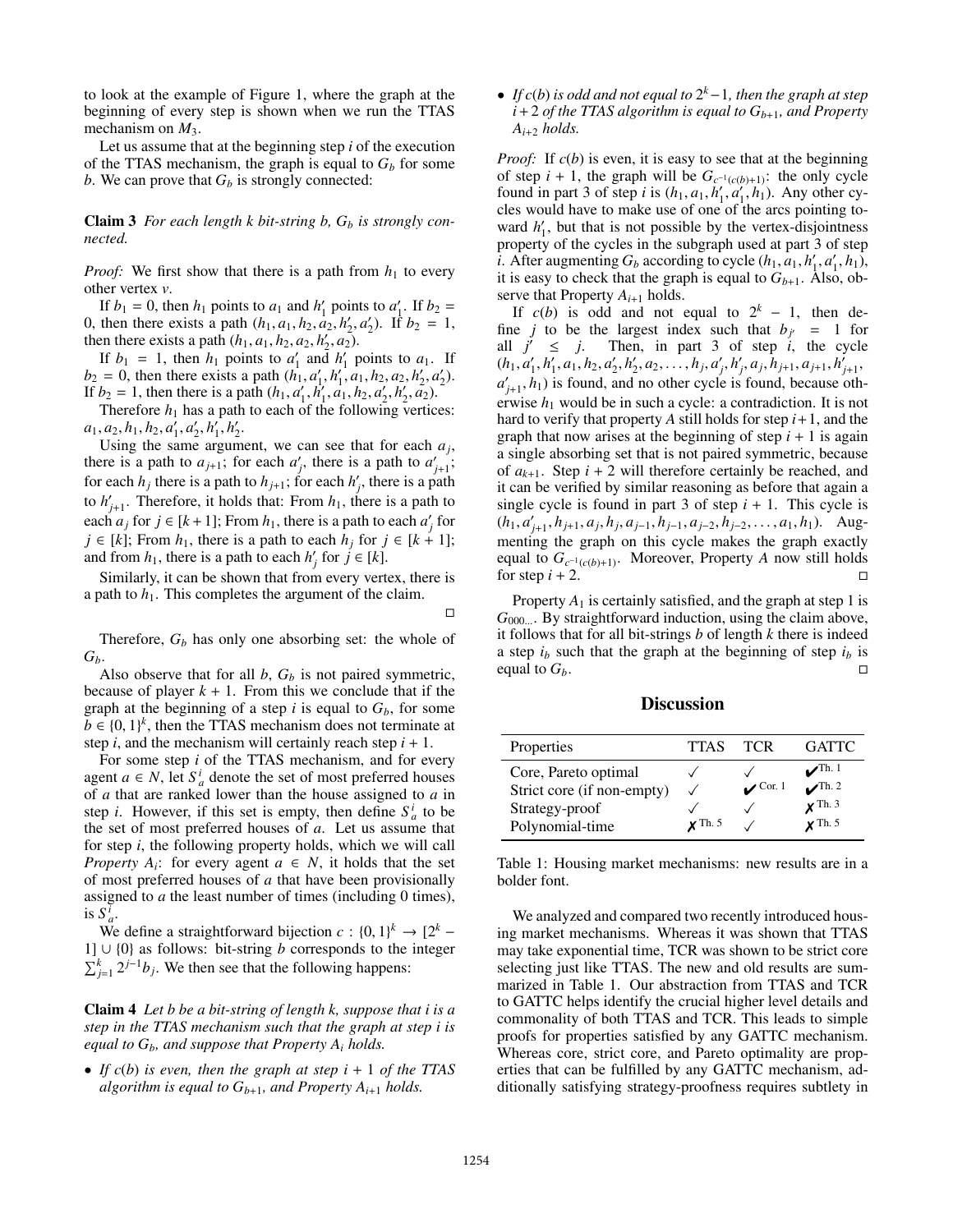to look at the example of Figure 1, where the graph at the beginning of every step is shown when we run the TTAS mechanism on  $M_3$ .

Let us assume that at the beginning step *i* of the execution of the TTAS mechanism, the graph is equal to  $G_b$  for some *b*. We can prove that  $G_b$  is strongly connected:

Claim 3 *For each length k bit-string b, G<sup>b</sup> is strongly connected.*

*Proof:* We first show that there is a path from  $h_1$  to every other vertex *v*.

If  $b_1 = 0$ , then  $h_1$  points to  $a_1$  and  $h'_1$  points to  $a'_1$ . If  $b_2 =$ 0, then there exists a path  $(h_1, a_1, h_2, a_2, h'_2, a'_2)$ . If  $b_2 = 1$ , then there exists a path  $(h_1, a_1, h_2, a_2, h'_1, a_2)$ . then there exists a path  $(h_1, a_1, h_2, a_2, h'_2, a_2)$ .<br>If  $h_1 = 1$ , then  $h_1$  points to  $a'_1$  and  $h'_1$ .

If  $b_1 = 1$ , then  $h_1$  points to  $a'_1$  and  $h'_1$  points to  $a_1$ . If  $b_2 = 0$ , then there exists a path  $(h_1, a'_1, h'_1, a_1, h_2, a_2, h'_2, a'_2)$ .<br>If  $b_2 = 1$  then there is a path  $(h_1, a'_1, h'_2, a_1, h_2, a'_2, h'_1, a_2)$ . If  $b_2 = 1$ , then there is a path  $(h_1, a'_1, h'_1, a_1, h_2, a'_2, h'_2, a_2)$ .<br>Therefore *h*, has a path to each of the following vertic

Therefore  $h_1$  has a path to each of the following vertices:  $a_1, a_2, h_1, h_2, a'_1, a'_2, h'_1, h'_2.$ <br>
Using the same aroum

Using the same argument, we can see that for each  $a_j$ , there is a path to  $a_{j+1}$ ; for each  $a'_j$ , there is a path to  $a'_{j+1}$ ; for each  $h_j$  there is a path to  $h_{j+1}$ ; for each  $h'_j$ , there is a path to  $h'_{j+1}$ . Therefore, it holds that: From  $h_1$ , there is a path to each  $a_j$  for  $j \in [k+1]$ ; From  $h_1$ , there is a path to each  $a'_j$  for *j* ∈ [*k*]; From *h*<sub>1</sub>, there is a path to each *h<sub>i</sub>* for *j* ∈ [*k* + 1]; and from  $h_1$ , there is a path to each  $h'_j$  for  $j \in [k]$ .

Similarly, it can be shown that from every vertex, there is a path to  $h_1$ . This completes the argument of the claim.

 $\Box$ 

Therefore, *G<sup>b</sup>* has only one absorbing set: the whole of *Gb*.

Also observe that for all *b*, *G<sup>b</sup>* is not paired symmetric, because of player  $k + 1$ . From this we conclude that if the graph at the beginning of a step  $i$  is equal to  $G_b$ , for some  $\bar{b} \in \{0, 1\}^k$ , then the TTAS mechanism does not terminate at step *i* and the mechanism will certainly reach step *i* + 1 step  $i$ , and the mechanism will certainly reach step  $i + 1$ .

For some step *i* of the TTAS mechanism, and for every agent  $a \in N$ , let  $S_a^i$  denote the set of most preferred houses of *a* that are ranked lower than the house assigned to *a* in step *i*. However, if this set is empty, then define  $S_a^i$  to be the set of most preferred houses of *a*. Let us assume that for step *i*, the following property holds, which we will call *Property A<sub>i</sub>*: for every agent  $a \in N$ , it holds that the set of most preferred houses of *a* that have been provisionally assigned to *a* the least number of times (including 0 times), is  $S_a^{\bar{i}}$ .

We define a straightforward bijection  $c : \{0, 1\}^k \to [2^k - 1]$   $\{0\}$  as follows: bit-string *b* corresponds to the integer 1] ∪ {0} as follows: bit-string *b* corresponds to the integer  $\sum_{j=1}^{k} 2^{j-1}b_j$ . We then see that the following happens:

Claim 4 *Let b be a bit-string of length k, suppose that i is a step in the TTAS mechanism such that the graph at step i is equal to Gb, and suppose that Property A<sup>i</sup> holds.*

• *If*  $c(b)$  *is even, then the graph at step i* + 1 *of the TTAS algorithm is equal to*  $G_{b+1}$ *, and Property A<sub><i>i*+1</sub></sub> *holds.* 

• *If c*(*b*) *is odd and not equal to* 2 *<sup>k</sup>*−1*, then the graph at step*  $i+2$  *of the TTAS algorithm is equal to*  $G_{b+1}$ *, and Property*  $A_{i+2}$  *holds.* 

*Proof:* If  $c(b)$  is even, it is easy to see that at the beginning of step  $i + 1$ , the graph will be  $G_{c^{-1}(c(b)+1)}$ : the only cycle found in part 3 of step *i* is  $(h_1, a_1, h'_1, a'_1, h_1)$ . Any other cy-<br>cles would have to make use of one of the arcs pointing tocles would have to make use of one of the arcs pointing toward  $h'_1$ , but that is not possible by the vertex-disjointness property of the cycles in the subgraph used at part 3 of step *i*. After augmenting  $G_b$  according to cycle  $(h_1, a_1, h'_1, a'_1, h_1)$ , it is easy to check that the graph is equal to  $G_{b+1}$ . Also obit is easy to check that the graph is equal to  $G_{b+1}$ . Also, observe that Property  $A_{i+1}$  holds.

If  $c(b)$  is odd and not equal to  $2^k - 1$ , then define *j* to be the largest index such that  $b_j = 1$  for all  $j' \leq j$ . Then, in part 3 of step *i*, the cycle  $(h_1, a'_1, h'_1, a_1, h_2, a'_2, h'_2, a_2, \ldots, h_j, a'_j, h'_j, a_j, h_{j+1}, a_{j+1}, h'_{j+1},$ <br>  $h'_1, h'_2, h'_2, h'_3, h'_3, h'_3, h'_4, h''_5, h''_6, h''_7$  $a'_{j+1}, h_1$ ) is found, and no other cycle is found, because oth-<br> $a''_{j+1}, h_1$ ) is found, and no other cycle is found, because otherwise *h*<sup>1</sup> would be in such a cycle: a contradiction. It is not hard to verify that property  $A$  still holds for step  $i+1$ , and the graph that now arises at the beginning of step  $i + 1$  is again a single absorbing set that is not paired symmetric, because of  $a_{k+1}$ . Step  $i + 2$  will therefore certainly be reached, and it can be verified by similar reasoning as before that again a single cycle is found in part 3 of step  $i + 1$ . This cycle is  $(h_1, a'_{j+1}, h_{j+1}, a_j, h_j, a_{j-1}, h_{j-1}, a_{j-2}, h_{j-2}, \ldots, a_1, h_1)$ . Aug-<br>menting the graph on this cycle makes the graph exactly menting the graph on this cycle makes the graph exactly equal to  $G_{c^{-1}(c(b)+1)}$ . Moreover, Property *A* now still holds for step  $i + 2$ .

Property  $A_1$  is certainly satisfied, and the graph at step 1 is *G*<sub>000...</sub>. By straightforward induction, using the claim above, it follows that for all bit-strings *b* of length *k* there is indeed a step  $i_b$  such that the graph at the beginning of step  $i_b$  is equal to  $G_b$ .

**Discussion** 

| Properties                 | <b>TTAS</b>    | <b>TCR</b>                    | <b>GATTC</b>          |
|----------------------------|----------------|-------------------------------|-----------------------|
| Core, Pareto optimal       |                |                               | $\sqrt{\ }$ Th. 1     |
| Strict core (if non-empty) |                | $\mathcal{L}^{\text{Cor. 1}}$ | $\sqrt{\text{Th. 2}}$ |
| Strategy-proof             |                |                               | $\times$ Th. 3        |
| Polynomial-time            | $\times$ Th. 5 |                               | $\times$ Th. 5        |

Table 1: Housing market mechanisms: new results are in a bolder font.

We analyzed and compared two recently introduced housing market mechanisms. Whereas it was shown that TTAS may take exponential time, TCR was shown to be strict core selecting just like TTAS. The new and old results are summarized in Table 1. Our abstraction from TTAS and TCR to GATTC helps identify the crucial higher level details and commonality of both TTAS and TCR. This leads to simple proofs for properties satisfied by any GATTC mechanism. Whereas core, strict core, and Pareto optimality are properties that can be fulfilled by any GATTC mechanism, additionally satisfying strategy-proofness requires subtlety in